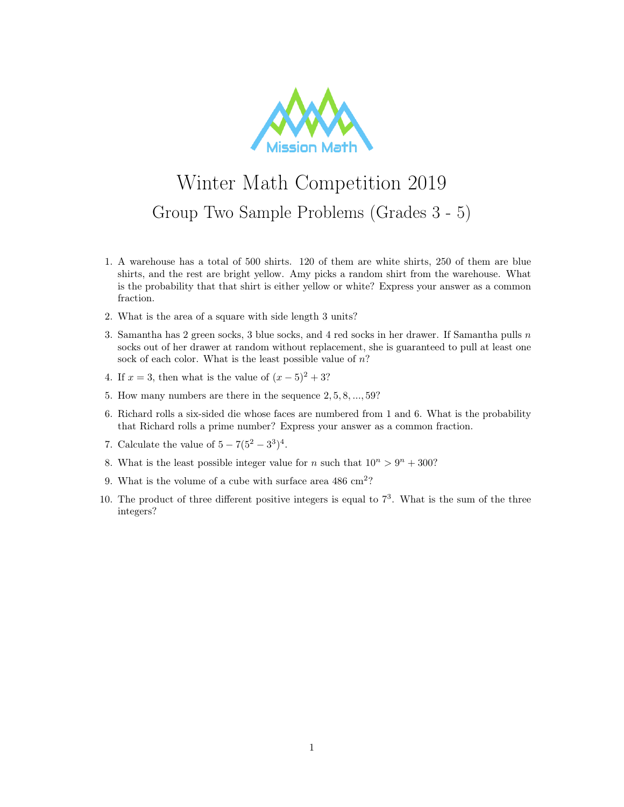

## Winter Math Competition 2019 Group Two Sample Problems (Grades 3 - 5)

- 1. A warehouse has a total of 500 shirts. 120 of them are white shirts, 250 of them are blue shirts, and the rest are bright yellow. Amy picks a random shirt from the warehouse. What is the probability that that shirt is either yellow or white? Express your answer as a common fraction.
- 2. What is the area of a square with side length 3 units?
- 3. Samantha has 2 green socks, 3 blue socks, and 4 red socks in her drawer. If Samantha pulls  $n$ socks out of her drawer at random without replacement, she is guaranteed to pull at least one sock of each color. What is the least possible value of  $n$ ?
- 4. If  $x = 3$ , then what is the value of  $(x 5)^2 + 3$ ?
- 5. How many numbers are there in the sequence 2, 5, 8, ..., 59?
- 6. Richard rolls a six-sided die whose faces are numbered from 1 and 6. What is the probability that Richard rolls a prime number? Express your answer as a common fraction.
- 7. Calculate the value of  $5 7(5^2 3^3)^4$ .
- 8. What is the least possible integer value for *n* such that  $10^n > 9^n + 300$ ?
- 9. What is the volume of a cube with surface area  $486 \text{ cm}^2$ ?
- 10. The product of three different positive integers is equal to  $7<sup>3</sup>$ . What is the sum of the three integers?